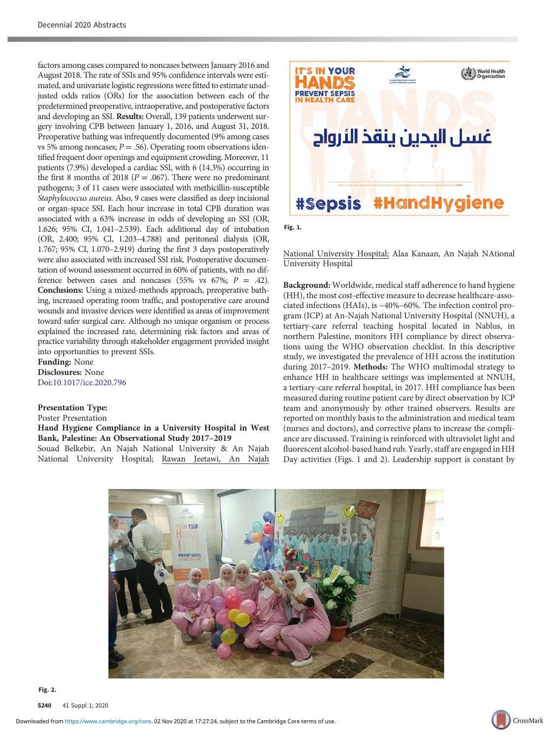factors among cases compared to noncases between January 2016 and August 2018. The rate of SSIs and 95% confidence intervals were estimated, and univariate logistic regressions were fitted to estimate unadjusted odds ratios (ORs) for the association between each of the predetermined preoperative, intraoperative, and postoperative factors and developing an SSI. Results: Overall, 139 patients underwent surgery involving CPB between January 1, 2016, and August 31, 2018. Preoperative bathing was infrequently documented (9% among cases vs 5% among noncases;  $P = .56$ ). Operating room observations identified frequent door openings and equipment crowding. Moreover, 11 patients (7.9%) developed a cardiac SSI, with 6 (14.3%) occurring in the first 8 months of 2018 ( $P = .067$ ). There were no predominant pathogens; 3 of 11 cases were associated with methicillin-susceptible Staphylococcus aureus. Also, 9 cases were classified as deep incisional or organ-space SSI. Each hour increase in total CPB duration was associated with a 63% increase in odds of developing an SSI (OR, 1.626; 95% CI, 1.041–2.539). Each additional day of intubation (OR, 2.400; 95% CI, 1.203–4.788) and peritoneal dialysis (OR, 1.767; 95% CI, 1.070–2.919) during the first 3 days postoperatively were also associated with increased SSI risk. Postoperative documentation of wound assessment occurred in 60% of patients, with no difference between cases and noncases (55% vs 67%;  $P = .42$ ). Conclusions: Using a mixed-methods approach, preoperative bathing, increased operating room traffic, and postoperative care around wounds and invasive devices were identified as areas of improvement toward safer surgical care. Although no unique organism or process explained the increased rate, determining risk factors and areas of practice variability through stakeholder engagement provided insight into opportunities to prevent SSIs.

Funding: None Disclosures: None Doi:[10.1017/ice.2020.796](https://doi.org/10.1017/ice.2020.796)

Presentation Type: Poster Presentation Hand Hygiene Compliance in a University Hospital in West Bank, Palestine: An Observational Study 2017–2019 Souad Belkebir, An Najah National University & An Najah

National University Hospital; Rawan Jeetawi, An Najah



 $\mathbf{r}$ 

National University Hospital; Alaa Kanaan, An Najah NAtional University Hospital

Background: Worldwide, medical staff adherence to hand hygiene (HH), the most cost-effective measure to decrease healthcare-associated infections (HAIs), is ~40%–60%. The infection control program (ICP) at An-Najah National University Hospital (NNUH), a tertiary-care referral teaching hospital located in Nablus, in northern Palestine, monitors HH compliance by direct observations using the WHO observation checklist. In this descriptive study, we investigated the prevalence of HH across the institution during 2017–2019. Methods: The WHO multimodal strategy to enhance HH in healthcare settings was implemented at NNUH, a tertiary-care referral hospital, in 2017. HH compliance has been measured during routine patient care by direct observation by ICP team and anonymously by other trained observers. Results are reported on monthly basis to the administration and medical team (nurses and doctors), and corrective plans to increase the compliance are discussed. Training is reinforced with ultraviolet light and fluorescent alcohol-based hand rub. Yearly, staff are engaged in HH Day activities (Figs. 1 and 2). Leadership support is constant by